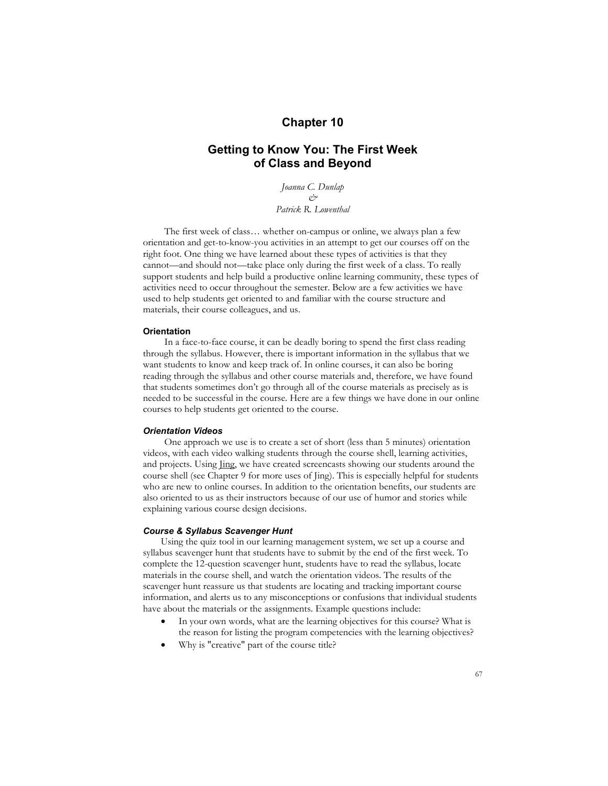# **Chapter 10**

# **Getting to Know You: The First Week of Class and Beyond**

*Joanna C. Dunlap & Patrick R. Lowenthal*

The first week of class… whether on-campus or online, we always plan a few orientation and get-to-know-you activities in an attempt to get our courses off on the right foot. One thing we have learned about these types of activities is that they cannot—and should not—take place only during the first week of a class. To really support students and help build a productive online learning community, these types of activities need to occur throughout the semester. Below are a few activities we have used to help students get oriented to and familiar with the course structure and materials, their course colleagues, and us.

#### **Orientation**

In a face-to-face course, it can be deadly boring to spend the first class reading through the syllabus. However, there is important information in the syllabus that we want students to know and keep track of. In online courses, it can also be boring reading through the syllabus and other course materials and, therefore, we have found that students sometimes don't go through all of the course materials as precisely as is needed to be successful in the course. Here are a few things we have done in our online courses to help students get oriented to the course.

# *Orientation Videos*

One approach we use is to create a set of short (less than 5 minutes) orientation videos, with each video walking students through the course shell, learning activities, and projects. Using Jing, we have created screencasts showing our students around the course shell (see Chapter 9 for more uses of Jing). This is especially helpful for students who are new to online courses. In addition to the orientation benefits, our students are also oriented to us as their instructors because of our use of humor and stories while explaining various course design decisions.

#### *Course & Syllabus Scavenger Hunt*

Using the quiz tool in our learning management system, we set up a course and syllabus scavenger hunt that students have to submit by the end of the first week. To complete the 12-question scavenger hunt, students have to read the syllabus, locate materials in the course shell, and watch the orientation videos. The results of the scavenger hunt reassure us that students are locating and tracking important course information, and alerts us to any misconceptions or confusions that individual students have about the materials or the assignments. Example questions include:

- In your own words, what are the learning objectives for this course? What is the reason for listing the program competencies with the learning objectives?
- Why is "creative" part of the course title?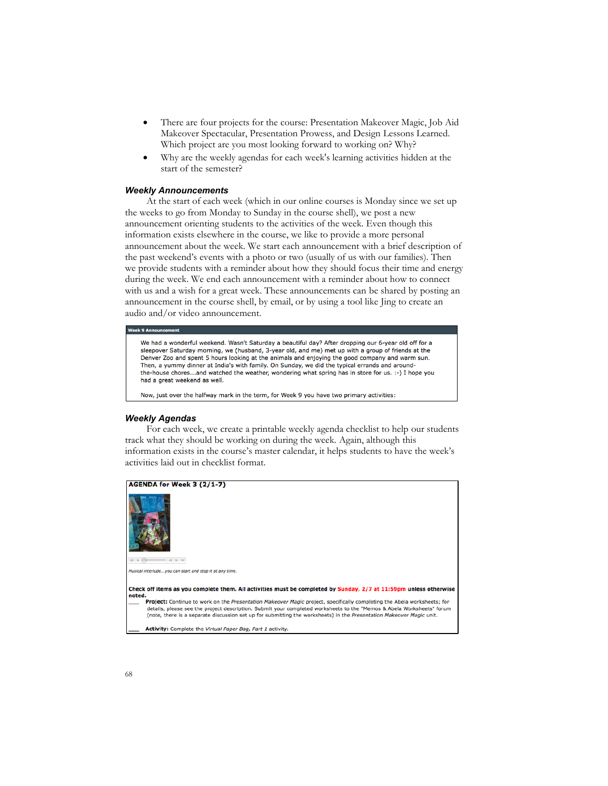- There are four projects for the course: Presentation Makeover Magic, Job Aid Makeover Spectacular, Presentation Prowess, and Design Lessons Learned. Which project are you most looking forward to working on? Why?
- Why are the weekly agendas for each week's learning activities hidden at the start of the semester?

### *Weekly Announcements*

At the start of each week (which in our online courses is Monday since we set up the weeks to go from Monday to Sunday in the course shell), we post a new announcement orienting students to the activities of the week. Even though this information exists elsewhere in the course, we like to provide a more personal announcement about the week. We start each announcement with a brief description of the past weekend's events with a photo or two (usually of us with our families). Then we provide students with a reminder about how they should focus their time and energy during the week. We end each announcement with a reminder about how to connect with us and a wish for a great week. These announcements can be shared by posting an announcement in the course shell, by email, or by using a tool like Jing to create an audio and/or video announcement.

#### ek 9 A

We had a wonderful weekend. Wasn't Saturday a beautiful day? After dropping our 6-year old off for a sleepover Saturday morning, we (husband, 3-year old, and me) met up with a group of friends at the Denver Zoo and spent 5 hours looking at the animals and enjoying the good company and warm sun. Then, a yummy dinner at India's with family. On Sunday, we did the typical errands and aroundthe-house chores...and watched the weather, wondering what spring has in store for us. :-) I hope you had a great weekend as well.

Now, just over the halfway mark in the term, for Week 9 you have two primary activities:

# *Weekly Agendas*

For each week, we create a printable weekly agenda checklist to help our students track what they should be working on during the week. Again, although this information exists in the course's master calendar, it helps students to have the week's activities laid out in checklist format.

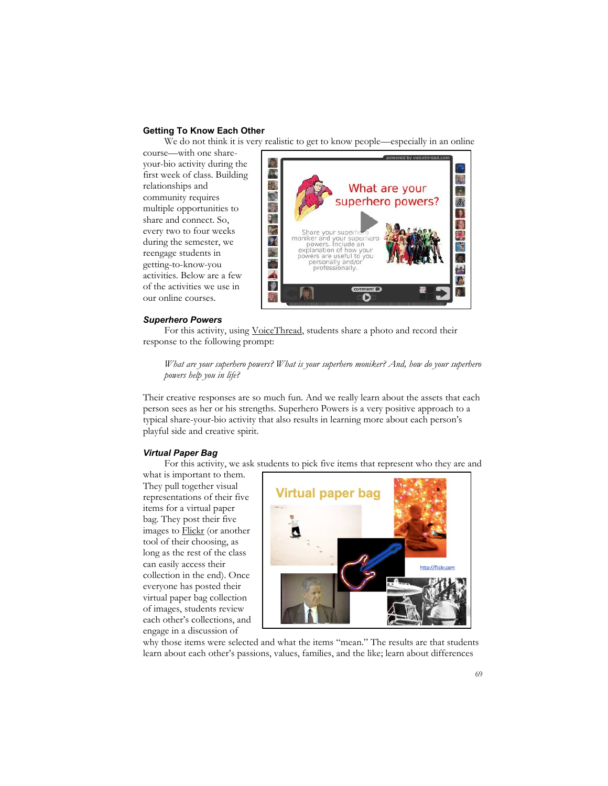# **Getting To Know Each Other**

We do not think it is very realistic to get to know people—especially in an online

course—with one shareyour-bio activity during the first week of class. Building relationships and community requires multiple opportunities to share and connect. So, every two to four weeks during the semester, we reengage students in getting-to-know-you activities. Below are a few of the activities we use in our online courses.



#### *Superhero Powers*

For this activity, using VoiceThread, students share a photo and record their response to the following prompt:

*What are your superhero powers? What is your superhero moniker? And, how do your superhero powers help you in life?*

Their creative responses are so much fun. And we really learn about the assets that each person sees as her or his strengths. Superhero Powers is a very positive approach to a typical share-your-bio activity that also results in learning more about each person's playful side and creative spirit.

# *Virtual Paper Bag*

For this activity, we ask students to pick five items that represent who they are and

what is important to them. They pull together visual representations of their five items for a virtual paper bag. They post their five images to Flickr (or another tool of their choosing, as long as the rest of the class can easily access their collection in the end). Once everyone has posted their virtual paper bag collection of images, students review each other's collections, and engage in a discussion of



why those items were selected and what the items "mean." The results are that students learn about each other's passions, values, families, and the like; learn about differences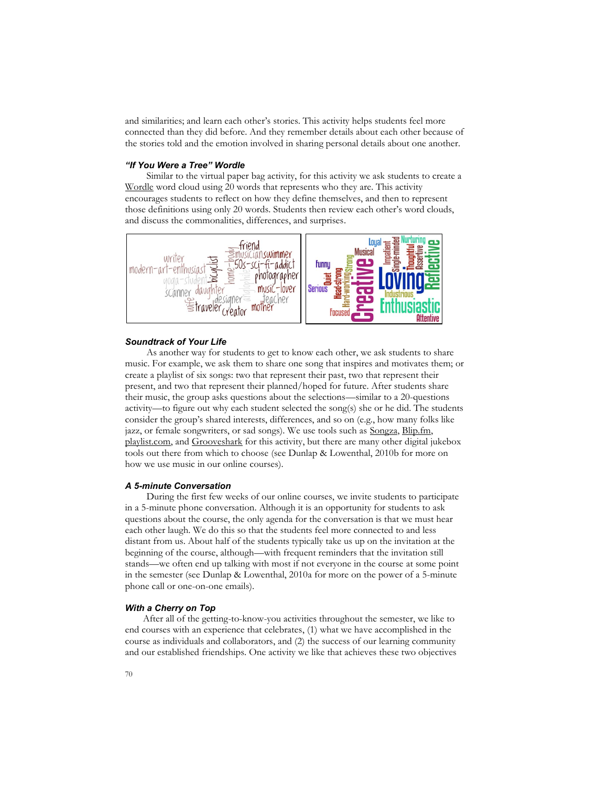and similarities; and learn each other's stories. This activity helps students feel more connected than they did before. And they remember details about each other because of the stories told and the emotion involved in sharing personal details about one another.

## *"If You Were a Tree" Wordle*

Similar to the virtual paper bag activity, for this activity we ask students to create a Wordle word cloud using 20 words that represents who they are. This activity encourages students to reflect on how they define themselves, and then to represent those definitions using only 20 words. Students then review each other's word clouds, and discuss the commonalities, differences, and surprises.



# *Soundtrack of Your Life*

As another way for students to get to know each other, we ask students to share music. For example, we ask them to share one song that inspires and motivates them; or create a playlist of six songs: two that represent their past, two that represent their present, and two that represent their planned/hoped for future. After students share their music, the group asks questions about the selections—similar to a 20-questions activity—to figure out why each student selected the song(s) she or he did. The students consider the group's shared interests, differences, and so on (e.g., how many folks like jazz, or female songwriters, or sad songs). We use tools such as Songza, Blip.fm, playlist.com, and Grooveshark for this activity, but there are many other digital jukebox tools out there from which to choose (see Dunlap & Lowenthal, 2010b for more on how we use music in our online courses).

#### *A 5-minute Conversation*

During the first few weeks of our online courses, we invite students to participate in a 5-minute phone conversation. Although it is an opportunity for students to ask questions about the course, the only agenda for the conversation is that we must hear each other laugh. We do this so that the students feel more connected to and less distant from us. About half of the students typically take us up on the invitation at the beginning of the course, although—with frequent reminders that the invitation still stands—we often end up talking with most if not everyone in the course at some point in the semester (see Dunlap & Lowenthal, 2010a for more on the power of a 5-minute phone call or one-on-one emails).

# *With a Cherry on Top*

After all of the getting-to-know-you activities throughout the semester, we like to end courses with an experience that celebrates, (1) what we have accomplished in the course as individuals and collaborators, and (2) the success of our learning community and our established friendships. One activity we like that achieves these two objectives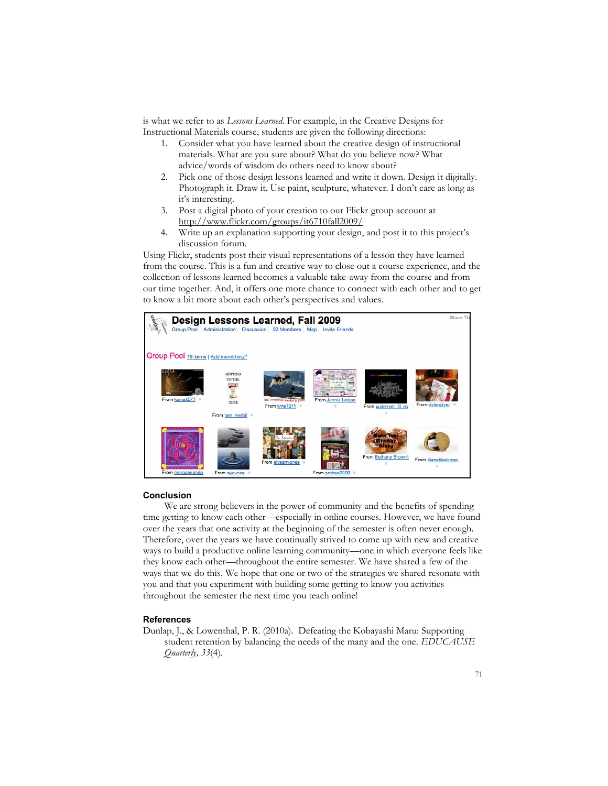is what we refer to as *Lessons Learned*. For example, in the Creative Designs for Instructional Materials course, students are given the following directions:

- 1. Consider what you have learned about the creative design of instructional materials. What are you sure about? What do you believe now? What advice/words of wisdom do others need to know about?
- 2. Pick one of those design lessons learned and write it down. Design it digitally. Photograph it. Draw it. Use paint, sculpture, whatever. I don't care as long as it's interesting.
- 3. Post a digital photo of your creation to our Flickr group account at http://www.flickr.com/groups/it6710fall2009/
- 4. Write up an explanation supporting your design, and post it to this project's discussion forum.

Using Flickr, students post their visual representations of a lesson they have learned from the course. This is a fun and creative way to close out a course experience, and the collection of lessons learned becomes a valuable take-away from the course and from our time together. And, it offers one more chance to connect with each other and to get to know a bit more about each other's perspectives and values.



#### **Conclusion**

We are strong believers in the power of community and the benefits of spending time getting to know each other—especially in online courses. However, we have found over the years that one activity at the beginning of the semester is often never enough. Therefore, over the years we have continually strived to come up with new and creative ways to build a productive online learning community—one in which everyone feels like they know each other—throughout the entire semester. We have shared a few of the ways that we do this. We hope that one or two of the strategies we shared resonate with you and that you experiment with building some getting to know you activities throughout the semester the next time you teach online!

#### **References**

Dunlap, J., & Lowenthal, P. R. (2010a). Defeating the Kobayashi Maru: Supporting student retention by balancing the needs of the many and the one. *EDUCAUSE Quarterly, 33*(4).